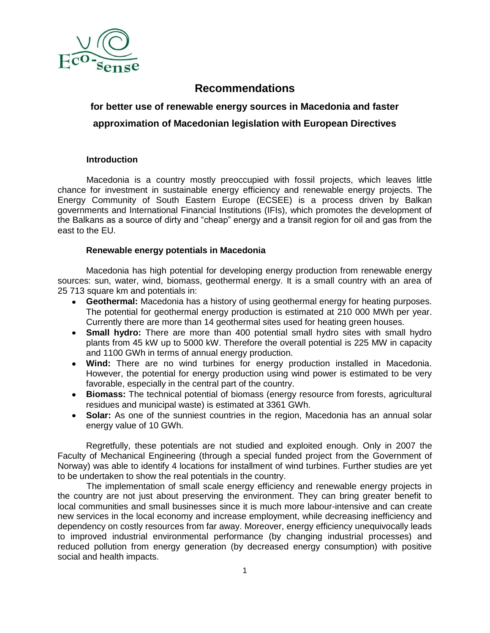

## **Recommendations**

# **for better use of renewable energy sources in Macedonia and faster approximation of Macedonian legislation with European Directives**

## **Introduction**

Macedonia is a country mostly preoccupied with fossil projects, which leaves little chance for investment in sustainable energy efficiency and renewable energy projects. The Energy Community of South Eastern Europe (ECSEE) is a process driven by Balkan governments and International Financial Institutions (IFIs), which promotes the development of the Balkans as a source of dirty and "cheap" energy and a transit region for oil and gas from the east to the EU.

## **Renewable energy potentials in Macedonia**

Macedonia has high potential for developing energy production from renewable energy sources: sun, water, wind, biomass, geothermal energy. It is a small country with an area of 25 713 square km and potentials in:

- **Geothermal:** Macedonia has a history of using geothermal energy for heating purposes. The potential for geothermal energy production is estimated at 210 000 MWh per year. Currently there are more than 14 geothermal sites used for heating green houses.
- **Small hydro:** There are more than 400 potential small hydro sites with small hydro plants from 45 kW up to 5000 kW. Therefore the overall potential is 225 MW in capacity and 1100 GWh in terms of annual energy production.
- **Wind:** There are no wind turbines for energy production installed in Macedonia. However, the potential for energy production using wind power is estimated to be very favorable, especially in the central part of the country.
- **Biomass:** The technical potential of biomass (energy resource from forests, agricultural residues and municipal waste) is estimated at 3361 GWh.
- **Solar:** As one of the sunniest countries in the region, Macedonia has an annual solar energy value of 10 GWh.

Regretfully, these potentials are not studied and exploited enough. Only in 2007 the Faculty of Mechanical Engineering (through a special funded project from the Government of Norway) was able to identify 4 locations for installment of wind turbines. Further studies are yet to be undertaken to show the real potentials in the country.

The implementation of small scale energy efficiency and renewable energy projects in the country are not just about preserving the environment. They can bring greater benefit to local communities and small businesses since it is much more labour-intensive and can create new services in the local economy and increase employment, while decreasing inefficiency and dependency on costly resources from far away. Moreover, energy efficiency unequivocally leads to improved industrial environmental performance (by changing industrial processes) and reduced pollution from energy generation (by decreased energy consumption) with positive social and health impacts.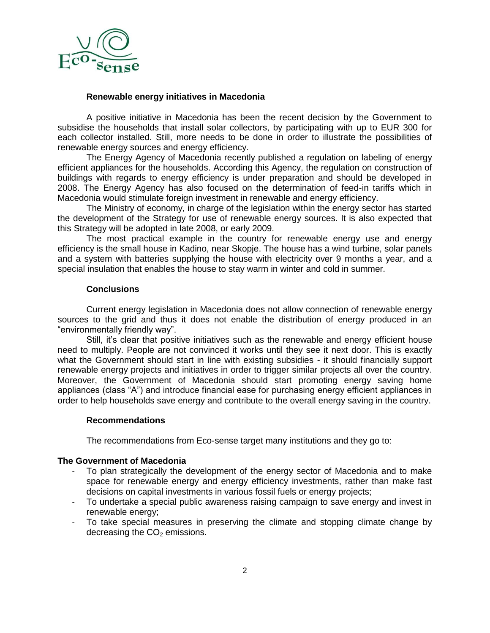

### **Renewable energy initiatives in Macedonia**

A positive initiative in Macedonia has been the recent decision by the Government to subsidise the households that install solar collectors, by participating with up to EUR 300 for each collector installed. Still, more needs to be done in order to illustrate the possibilities of renewable energy sources and energy efficiency.

The Energy Agency of Macedonia recently published a regulation on labeling of energy efficient appliances for the households. According this Agency, the regulation on construction of buildings with regards to energy efficiency is under preparation and should be developed in 2008. The Energy Agency has also focused on the determination of feed-in tariffs which in Macedonia would stimulate foreign investment in renewable and energy efficiency.

The Ministry of economy, in charge of the legislation within the energy sector has started the development of the Strategy for use of renewable energy sources. It is also expected that this Strategy will be adopted in late 2008, or early 2009.

The most practical example in the country for renewable energy use and energy efficiency is the small house in Kadino, near Skopje. The house has a wind turbine, solar panels and a system with batteries supplying the house with electricity over 9 months a year, and a special insulation that enables the house to stay warm in winter and cold in summer.

## **Conclusions**

Current energy legislation in Macedonia does not allow connection of renewable energy sources to the grid and thus it does not enable the distribution of energy produced in an "environmentally friendly way".

Still, it's clear that positive initiatives such as the renewable and energy efficient house need to multiply. People are not convinced it works until they see it next door. This is exactly what the Government should start in line with existing subsidies - it should financially support renewable energy projects and initiatives in order to trigger similar projects all over the country. Moreover, the Government of Macedonia should start promoting energy saving home appliances (class "A") and introduce financial ease for purchasing energy efficient appliances in order to help households save energy and contribute to the overall energy saving in the country.

#### **Recommendations**

The recommendations from Eco-sense target many institutions and they go to:

## **The Government of Macedonia**

- To plan strategically the development of the energy sector of Macedonia and to make space for renewable energy and energy efficiency investments, rather than make fast decisions on capital investments in various fossil fuels or energy projects;
- To undertake a special public awareness raising campaign to save energy and invest in renewable energy;
- To take special measures in preserving the climate and stopping climate change by decreasing the  $CO<sub>2</sub>$  emissions.